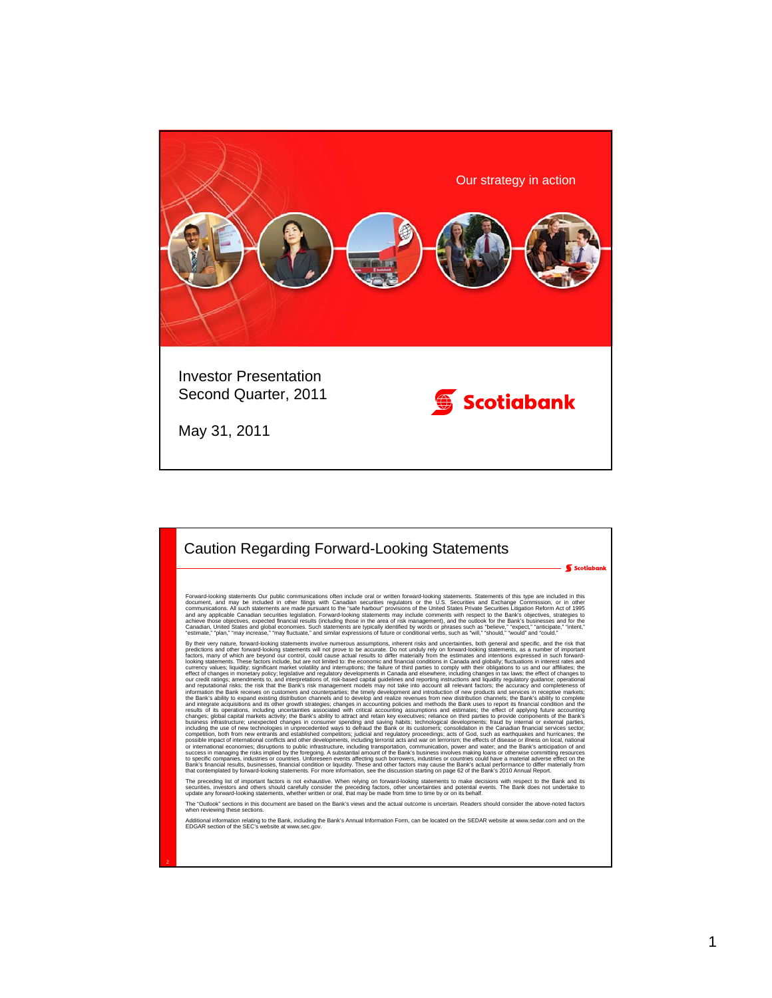

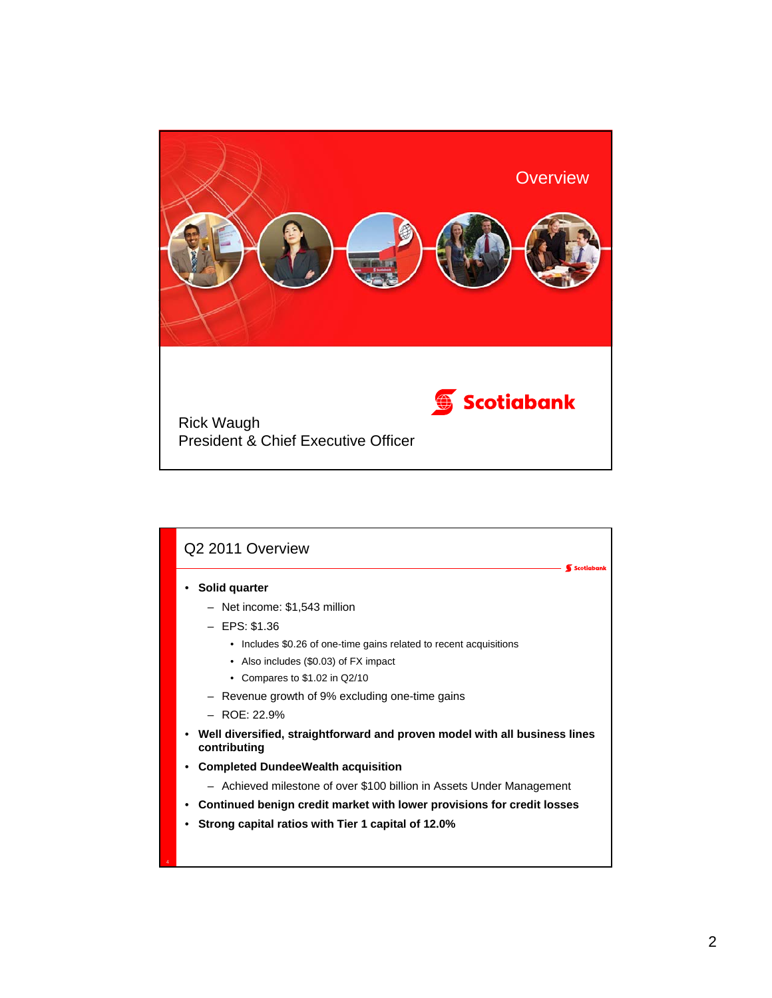

|   | Q2 2011 Overview<br><b>&amp;</b> Scotiabank                                                |
|---|--------------------------------------------------------------------------------------------|
|   | Solid quarter                                                                              |
|   | - Net income: \$1,543 million                                                              |
|   | $-$ EPS: \$1.36                                                                            |
|   | • Includes \$0.26 of one-time gains related to recent acquisitions                         |
|   | • Also includes (\$0.03) of FX impact                                                      |
|   | • Compares to \$1.02 in Q2/10                                                              |
|   | - Revenue growth of 9% excluding one-time gains                                            |
|   | $-$ ROE: 22.9%                                                                             |
|   | Well diversified, straightforward and proven model with all business lines<br>contributing |
|   | <b>Completed DundeeWealth acquisition</b>                                                  |
|   | - Achieved milestone of over \$100 billion in Assets Under Management                      |
|   | Continued benign credit market with lower provisions for credit losses                     |
|   | Strong capital ratios with Tier 1 capital of 12.0%                                         |
|   |                                                                                            |
| 4 |                                                                                            |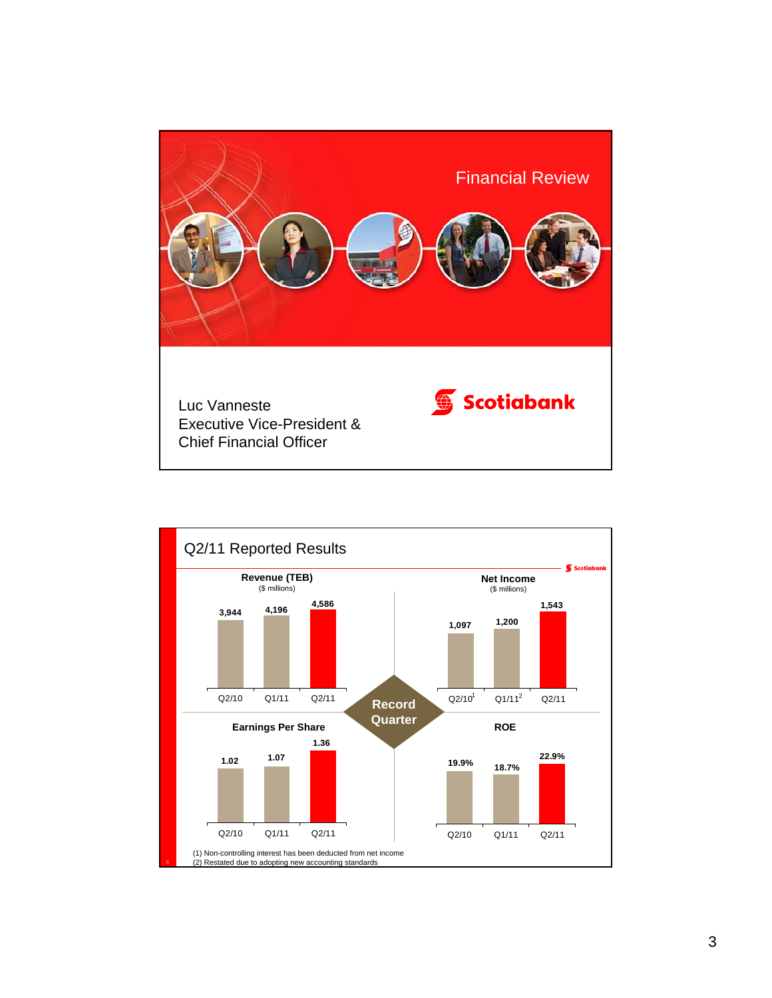

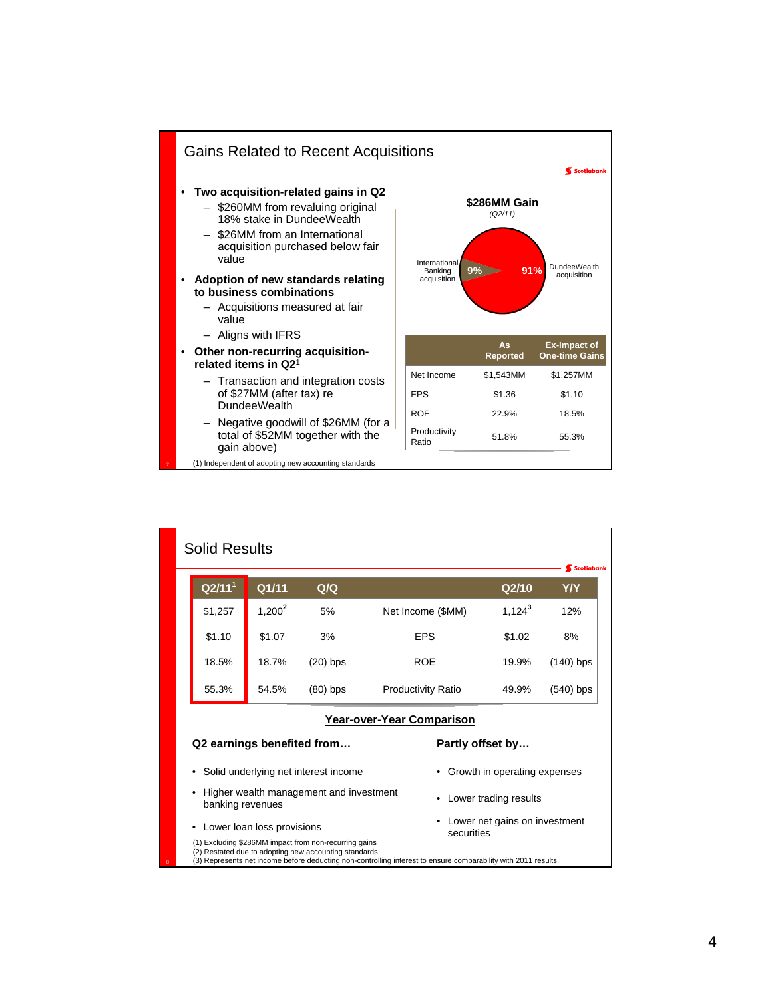

| <b>Solid Results</b>       |                            |                                                                                                                |                                                                                                               |                               |             |  |  |  |
|----------------------------|----------------------------|----------------------------------------------------------------------------------------------------------------|---------------------------------------------------------------------------------------------------------------|-------------------------------|-------------|--|--|--|
|                            |                            |                                                                                                                |                                                                                                               |                               | Scotiabank  |  |  |  |
| Q2/11 <sup>1</sup>         | Q1/11                      | Q/Q                                                                                                            |                                                                                                               | Q <sub>2/10</sub>             | <b>Y/Y</b>  |  |  |  |
| \$1,257                    | $1,200^2$                  | 5%                                                                                                             | Net Income (\$MM)                                                                                             | $1,124^3$                     | 12%         |  |  |  |
| \$1.10                     | \$1.07                     | 3%                                                                                                             | <b>EPS</b>                                                                                                    | \$1.02                        | 8%          |  |  |  |
| 18.5%                      | 18.7%                      | $(20)$ bps                                                                                                     | <b>ROE</b>                                                                                                    |                               | $(140)$ bps |  |  |  |
| 55.3%                      | 54.5%                      | $(80)$ bps                                                                                                     | <b>Productivity Ratio</b>                                                                                     | 49.9%                         | $(540)$ bps |  |  |  |
|                            |                            |                                                                                                                | <b>Year-over-Year Comparison</b>                                                                              |                               |             |  |  |  |
| Q2 earnings benefited from |                            |                                                                                                                |                                                                                                               | Partly offset by              |             |  |  |  |
| $\bullet$                  |                            | Solid underlying net interest income                                                                           |                                                                                                               | Growth in operating expenses  |             |  |  |  |
| banking revenues           |                            | Higher wealth management and investment                                                                        |                                                                                                               | Lower trading results         |             |  |  |  |
| ٠                          | Lower loan loss provisions |                                                                                                                | securities                                                                                                    | Lower net gains on investment |             |  |  |  |
|                            |                            | (1) Excluding \$286MM impact from non-recurring gains<br>(2) Restated due to adopting new accounting standards | (3) Represents net income before deducting non-controlling interest to ensure comparability with 2011 results |                               |             |  |  |  |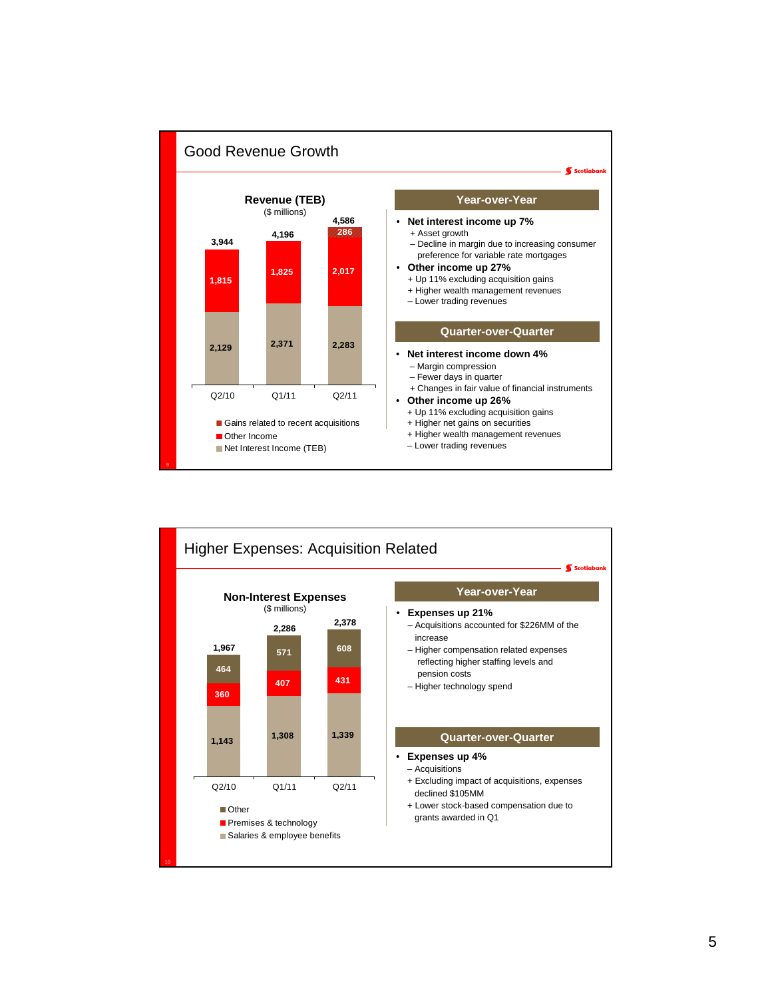

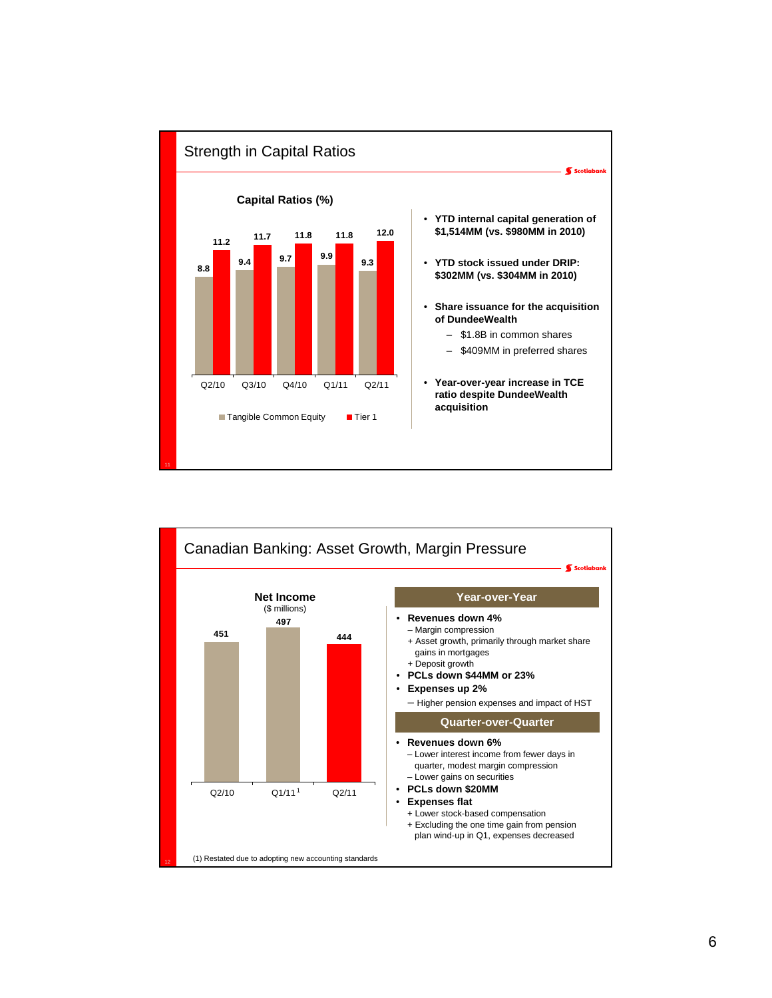

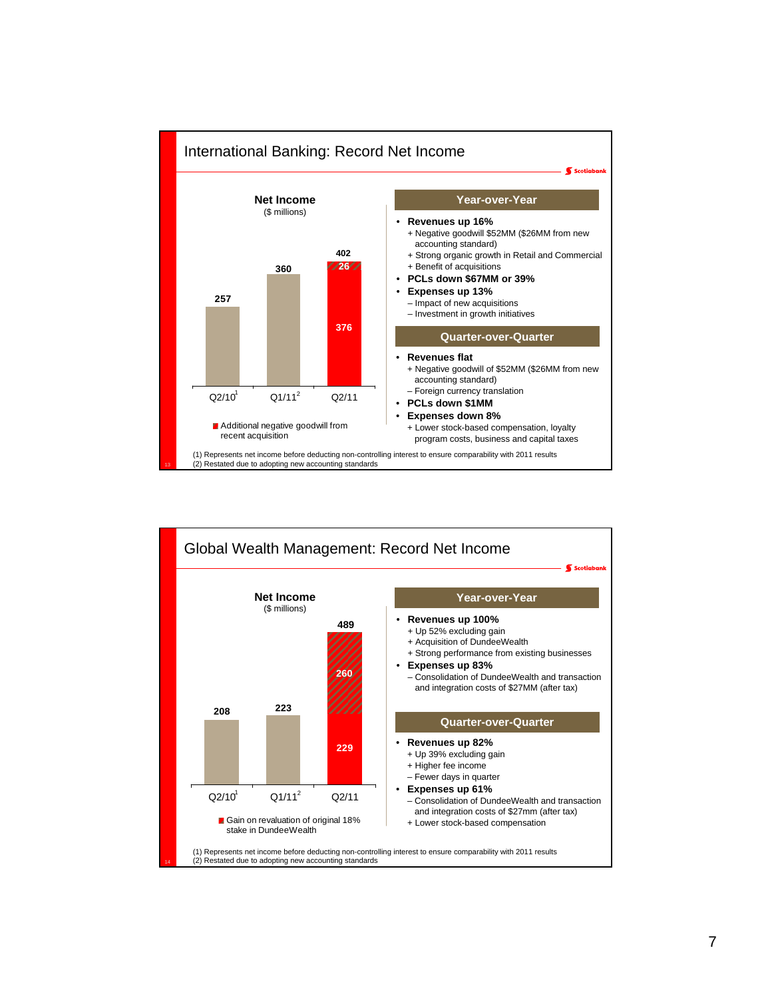

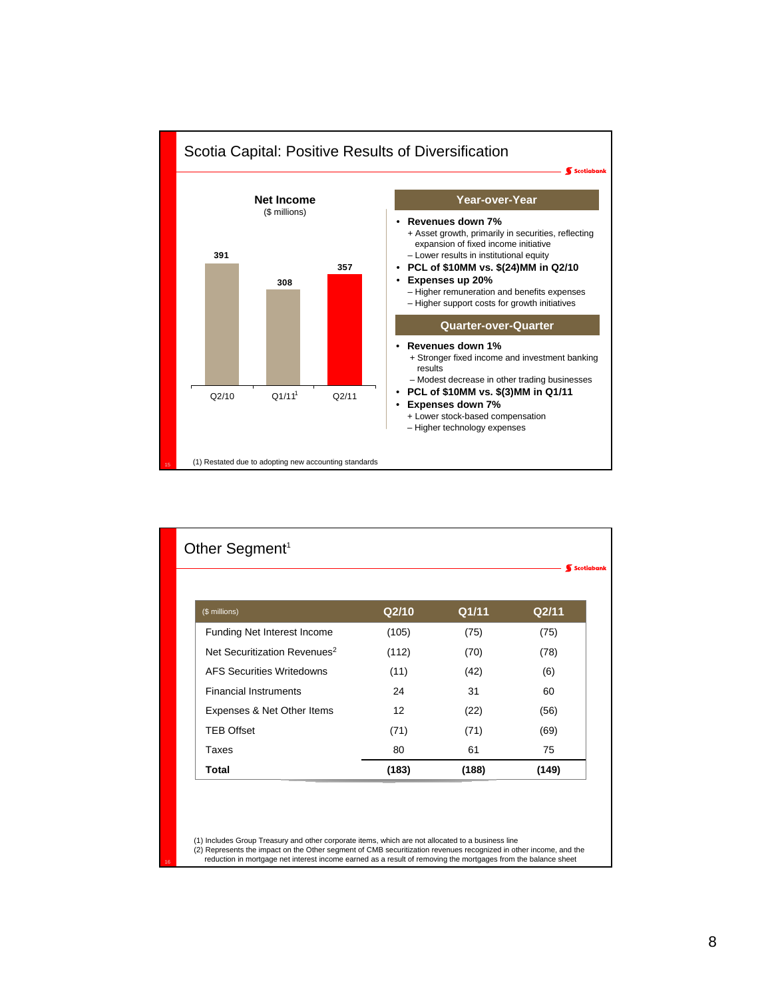

| Other Segment <sup>1</sup>               |                    |       |                    |
|------------------------------------------|--------------------|-------|--------------------|
|                                          |                    |       | Scotiabank         |
| (\$ millions)                            | Q <sub>2</sub> /10 | Q1/11 | Q <sub>2</sub> /11 |
| <b>Funding Net Interest Income</b>       | (105)              | (75)  | (75)               |
| Net Securitization Revenues <sup>2</sup> | (112)              | (70)  | (78)               |
| <b>AFS Securities Writedowns</b>         | (11)               | (42)  | (6)                |
| <b>Financial Instruments</b>             | 24                 | 31    | 60                 |
| Expenses & Net Other Items               | $12 \overline{ }$  | (22)  | (56)               |
| <b>TEB Offset</b>                        | (71)               | (71)  | (69)               |
| Taxes                                    | 80                 | 61    | 75                 |
| <b>Total</b>                             | (183)              | (188) | (149)              |

(1) Includes Group Treasury and other corporate items, which are not allocated to a business line<br>(2) Represents the impact on the Other segment of CMB securitization revenues recognized in other income, and the<br>reduction

16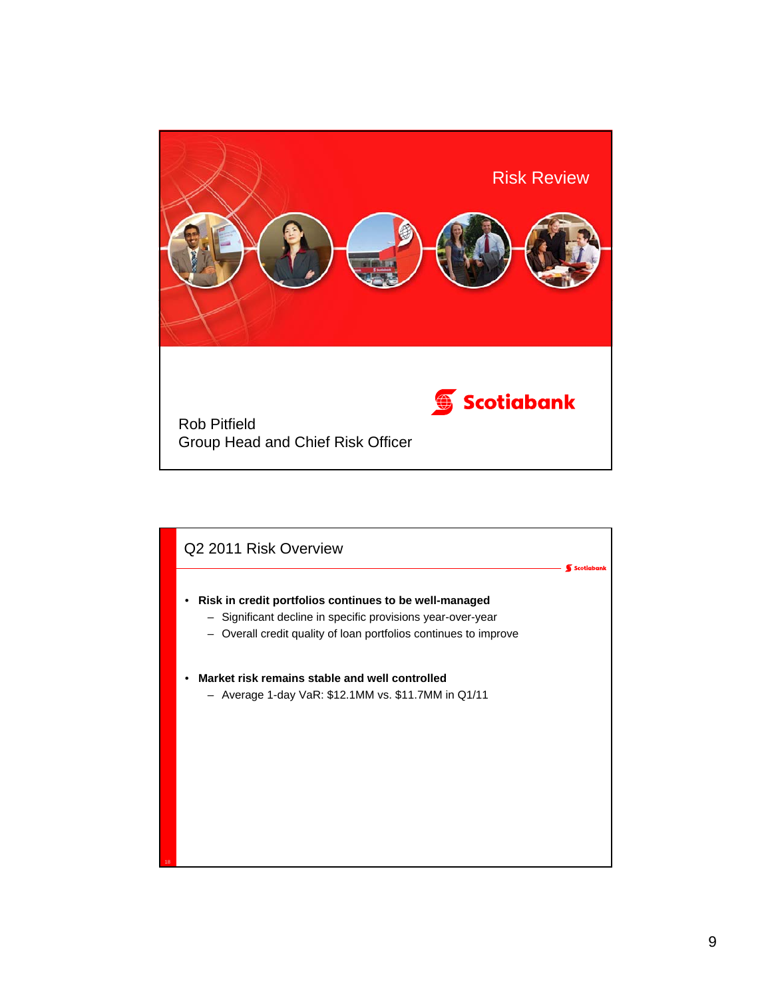

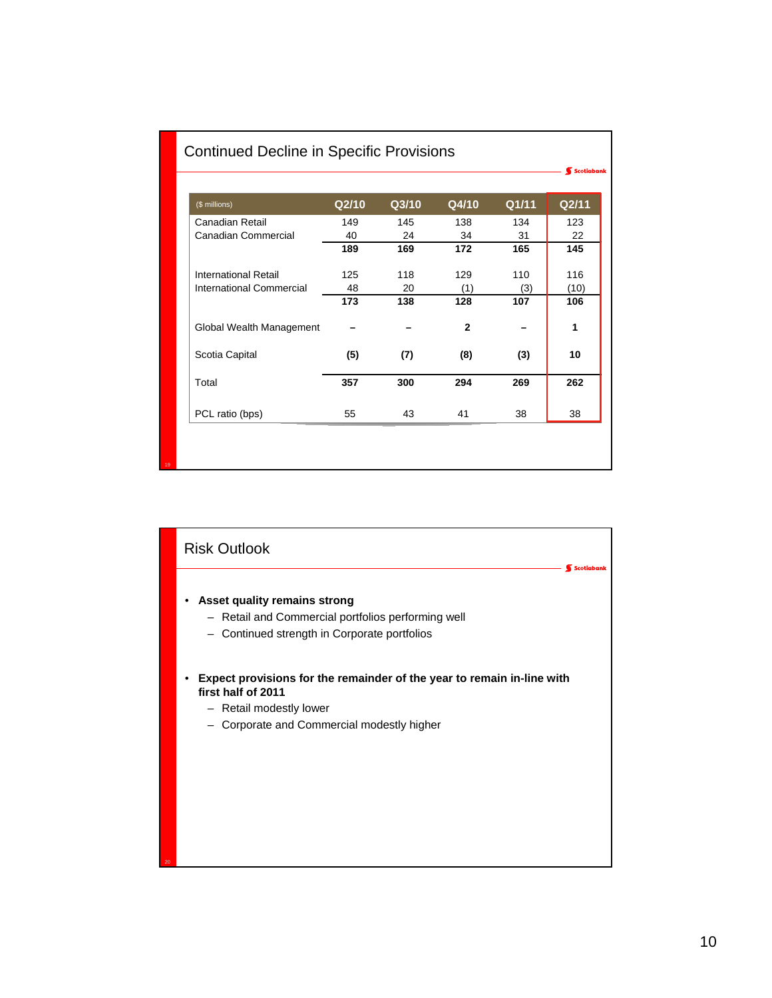|                             |       |                   |              |       | Scotiabank |
|-----------------------------|-------|-------------------|--------------|-------|------------|
| (\$ millions)               | Q2/10 | Q <sub>3/10</sub> | Q4/10        | Q1/11 | Q2/11      |
| Canadian Retail             | 149   | 145               | 138          | 134   | 123        |
| Canadian Commercial         | 40    | 24                | 34           | 31    | 22         |
|                             | 189   | 169               | 172          | 165   | 145        |
| <b>International Retail</b> | 125   | 118               | 129          | 110   | 116        |
| International Commercial    | 48    | 20                | (1)          | (3)   | (10)       |
|                             | 173   | 138               | 128          | 107   | 106        |
| Global Wealth Management    |       |                   | $\mathbf{2}$ |       | 1          |
| Scotia Capital              | (5)   | (7)               | (8)          | (3)   | 10         |
| Total                       | 357   | 300               | 294          | 269   | 262        |
| PCL ratio (bps)             | 55    | 43                | 41           | 38    | 38         |

19

| <b>Risk Outlook</b>                                                                                                                                                        | <b>&amp;</b> Scotiabank |
|----------------------------------------------------------------------------------------------------------------------------------------------------------------------------|-------------------------|
| Asset quality remains strong<br>٠<br>- Retail and Commercial portfolios performing well<br>- Continued strength in Corporate portfolios                                    |                         |
| Expect provisions for the remainder of the year to remain in-line with<br>٠<br>first half of 2011<br>- Retail modestly lower<br>- Corporate and Commercial modestly higher |                         |
|                                                                                                                                                                            |                         |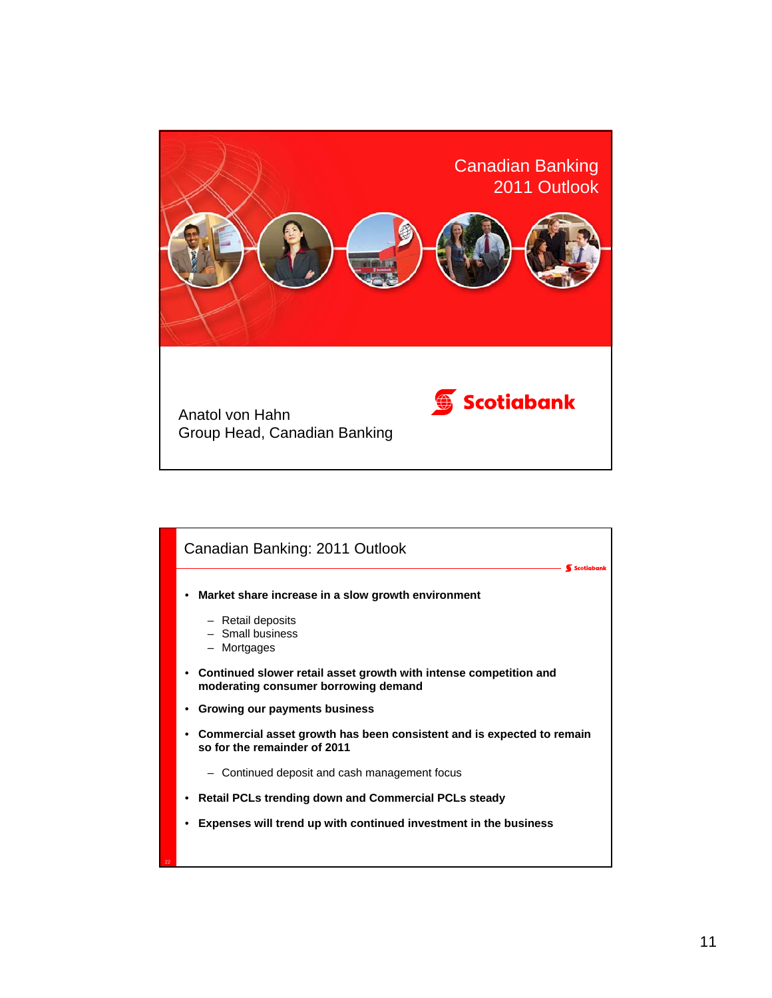

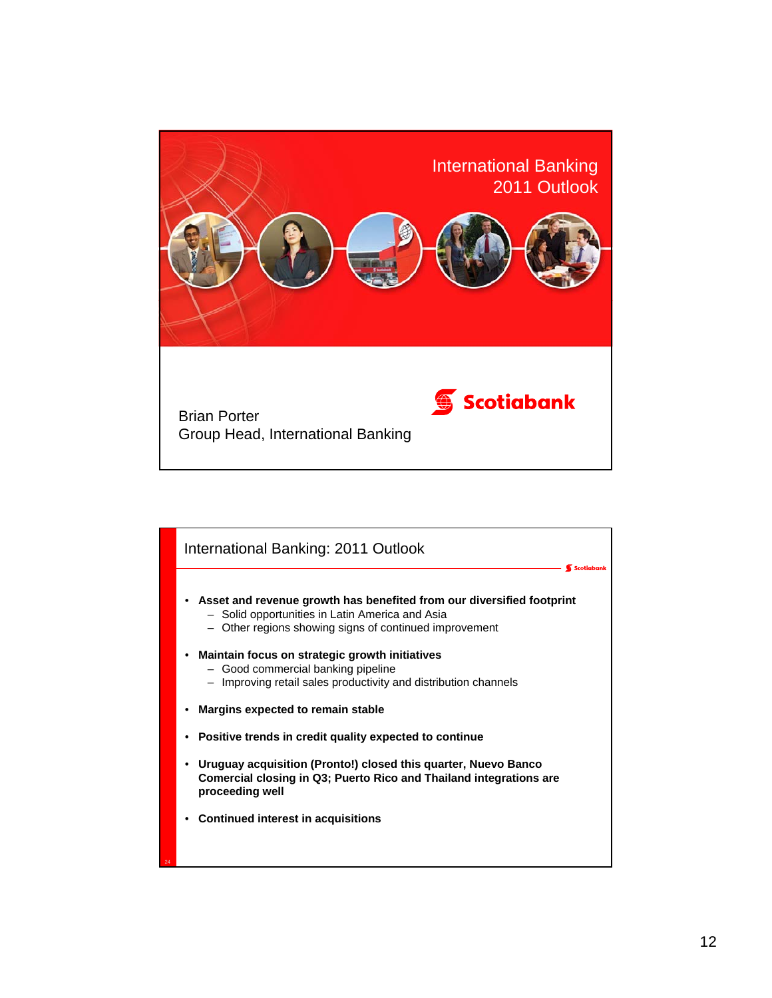

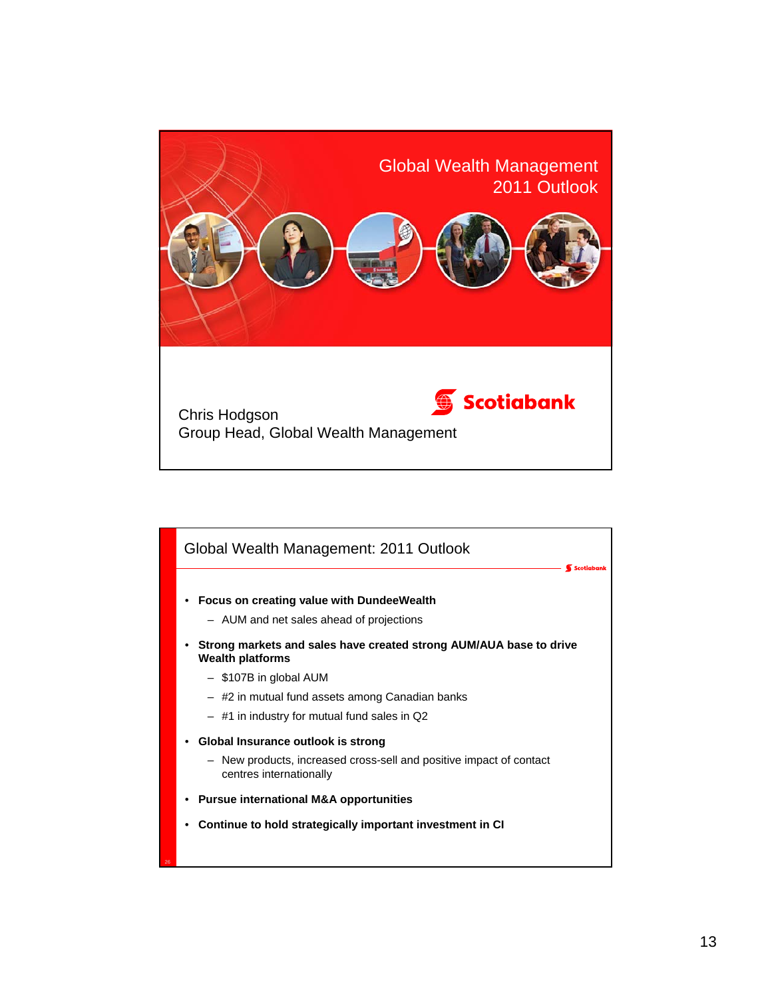

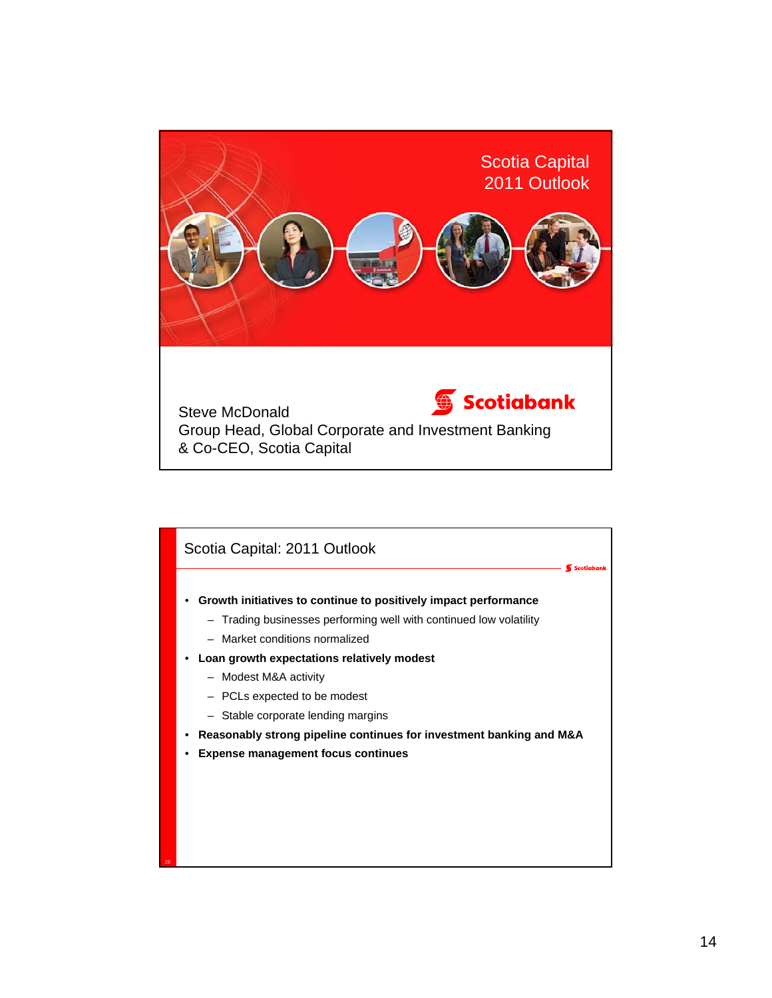

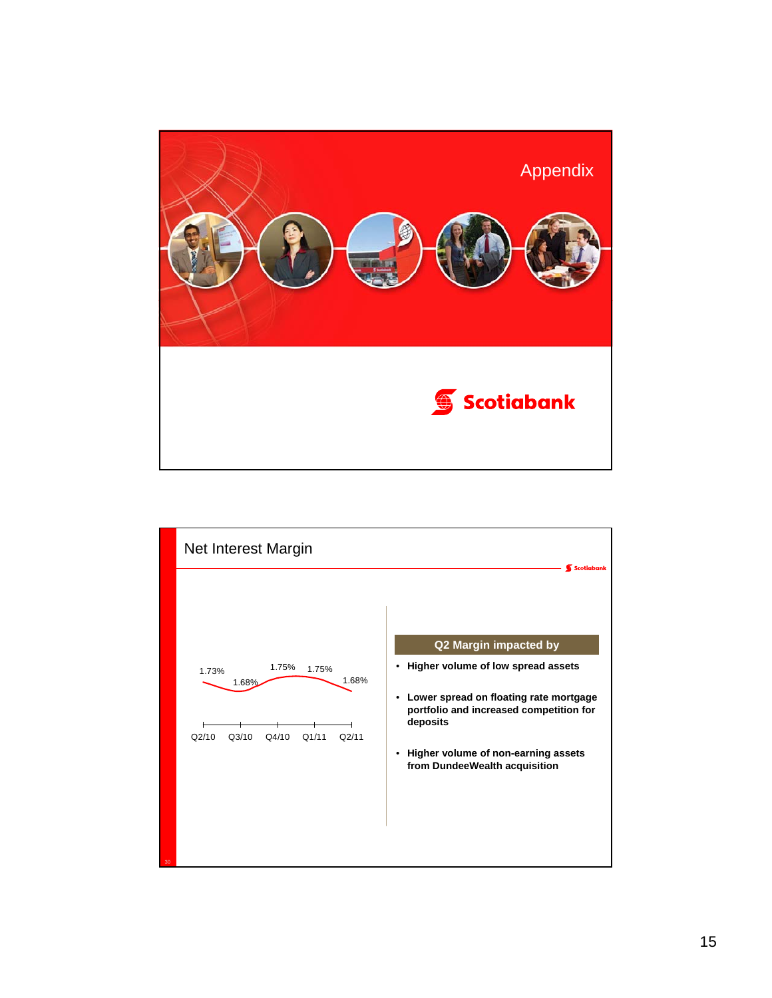

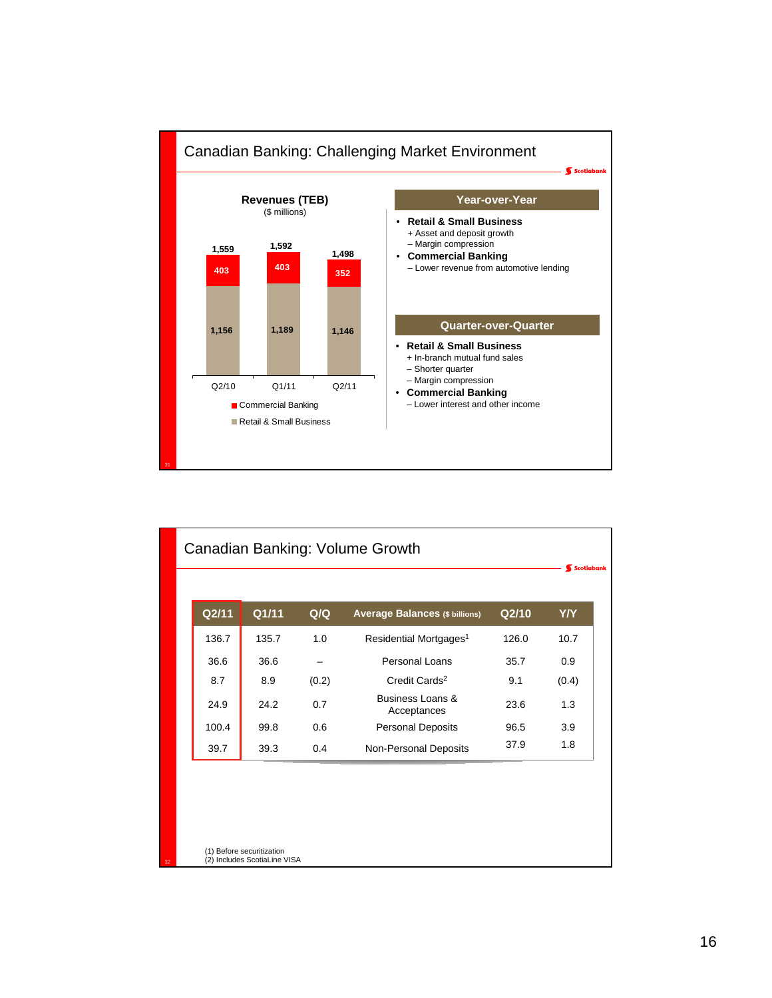

| Q2/11 | Q1/11 | Q/Q   | <b>Average Balances (\$ billions)</b> | Q <sub>2/10</sub> | Y/Y   |
|-------|-------|-------|---------------------------------------|-------------------|-------|
| 136.7 | 135.7 | 1.0   | Residential Mortgages <sup>1</sup>    | 126.0             | 10.7  |
| 36.6  | 36.6  |       | Personal Loans                        | 35.7              | 0.9   |
| 8.7   | 8.9   | (0.2) | Credit Cards <sup>2</sup>             | 9.1               | (0.4) |
| 24.9  | 24.2  | 0.7   | Business Loans &<br>Acceptances       | 23.6              | 1.3   |
| 100.4 | 99.8  | 0.6   | Personal Deposits                     | 96.5              | 3.9   |
| 39.7  | 39.3  | 0.4   | Non-Personal Deposits                 | 37.9              | 1.8   |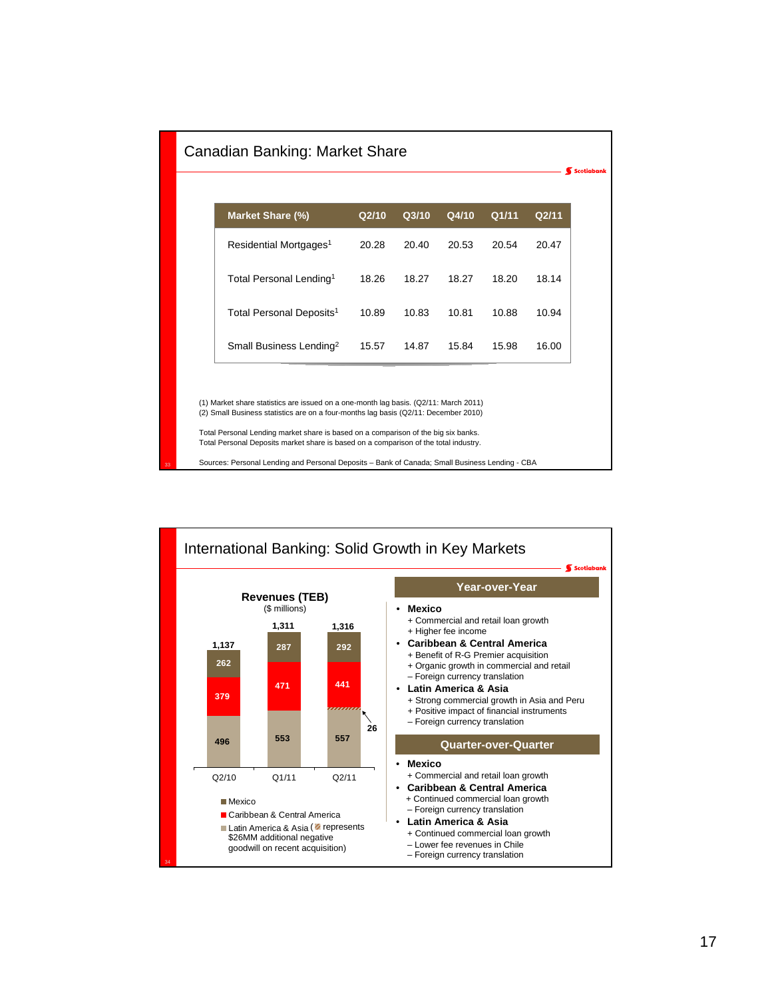| Market Share (%) |                                      | Q2/10 | Q3/10 | Q4/10 | Q1/11 | Q2/11 |
|------------------|--------------------------------------|-------|-------|-------|-------|-------|
|                  | Residential Mortgages <sup>1</sup>   | 20.28 | 20.40 | 20.53 | 20.54 | 20.47 |
|                  | Total Personal Lending <sup>1</sup>  | 18.26 | 18.27 | 18.27 | 18.20 | 18.14 |
|                  | Total Personal Deposits <sup>1</sup> | 10.89 | 10.83 | 10.81 | 10.88 | 10.94 |
|                  | Small Business Lending <sup>2</sup>  | 15.57 | 14.87 | 15.84 | 15.98 | 16.00 |

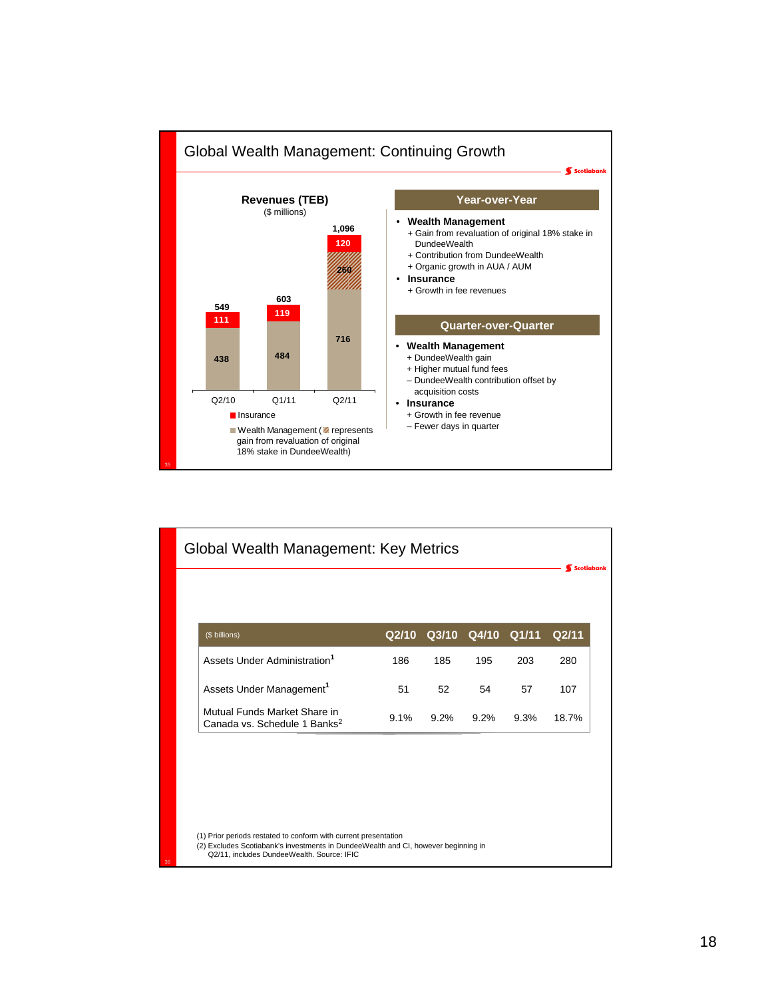

| (\$ billions)                                                            | Q2/10 | $\overline{\text{Q3/10}}$ | Q4/10 | Q1/11 | Q2/11 |
|--------------------------------------------------------------------------|-------|---------------------------|-------|-------|-------|
| Assets Under Administration <sup>1</sup>                                 | 186   | 185                       | 195   | 203   | 280   |
| Assets Under Management <sup>1</sup>                                     | 51    | 52                        | 54    | 57    | 107   |
| Mutual Funds Market Share in<br>Canada vs. Schedule 1 Banks <sup>2</sup> | 9.1%  | 9.2%                      | 9.2%  | 9.3%  | 18.7% |
|                                                                          |       |                           |       |       |       |
|                                                                          |       |                           |       |       |       |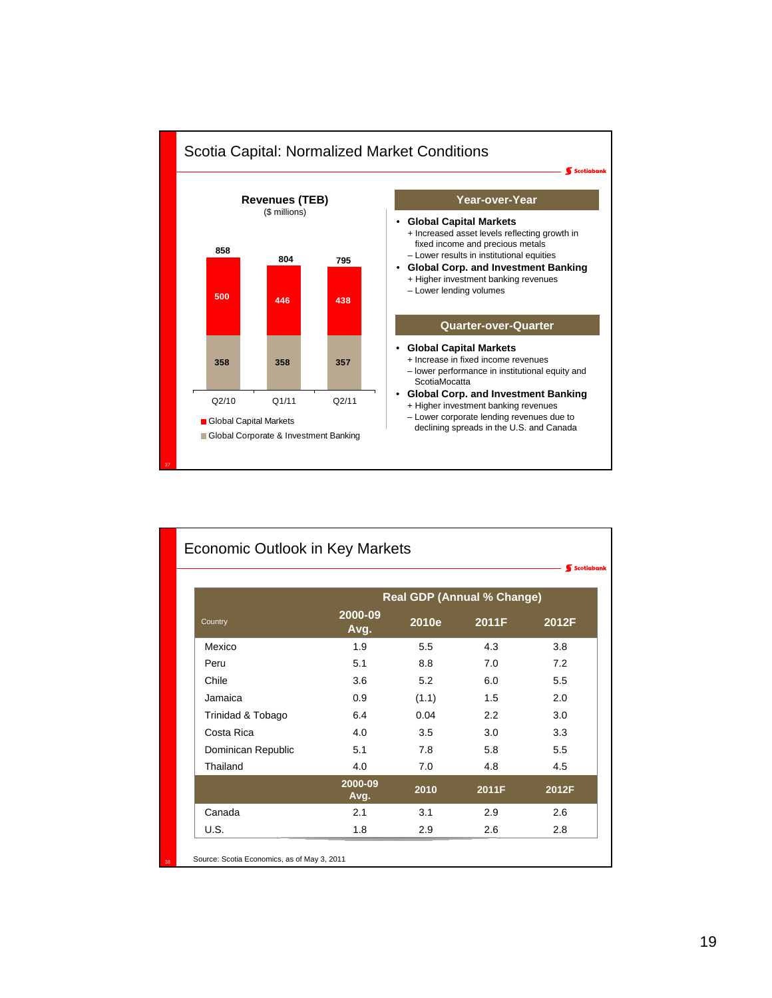

|                    |                  |       |                            | Scotiabank |
|--------------------|------------------|-------|----------------------------|------------|
|                    |                  |       | Real GDP (Annual % Change) |            |
| Country            | 2000-09<br>Avg.  | 2010e | 2011F                      | 2012F      |
| Mexico             | 1.9              | 5.5   | 4.3                        | 3.8        |
| Peru               | 5.1              | 8.8   | 7.0                        | 7.2        |
| Chile              | 3.6              | 5.2   | 6.0                        | 5.5        |
| Jamaica            | 0.9 <sup>°</sup> | (1.1) | 1.5                        | 2.0        |
| Trinidad & Tobago  | 6.4              | 0.04  | 2.2                        | 3.0        |
| Costa Rica         | 4.0              | 3.5   | 3.0                        | 3.3        |
| Dominican Republic | 5.1              | 7.8   | 5.8                        | 5.5        |
| Thailand           | 4.0              | 7.0   | 4.8                        | 4.5        |
|                    | 2000-09<br>Avg.  | 2010  | 2011F                      | 2012F      |
| Canada             | 2.1              | 3.1   | 2.9                        | 2.6        |
| U.S.               | 1.8              | 2.9   | 2.6                        | 2.8        |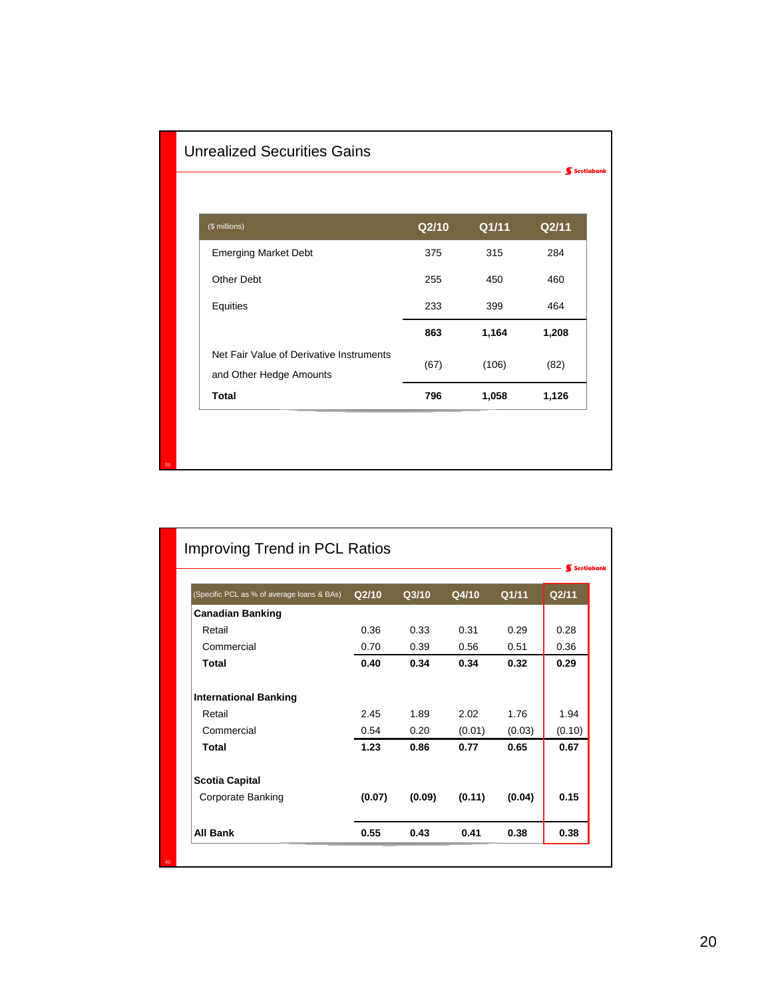| <b>Unrealized Securities Gains</b>                                  |       |       | Scotiabank |
|---------------------------------------------------------------------|-------|-------|------------|
| (\$ millions)                                                       | Q2/10 | Q1/11 | Q2/11      |
| <b>Emerging Market Debt</b>                                         | 375   | 315   | 284        |
| <b>Other Debt</b>                                                   | 255   | 450   | 460        |
| Equities                                                            | 233   | 399   | 464        |
|                                                                     | 863   | 1,164 | 1,208      |
| Net Fair Value of Derivative Instruments<br>and Other Hedge Amounts | (67)  | (106) | (82)       |
| <b>Total</b>                                                        | 796   | 1,058 | 1,126      |

|                                            |        |                   |        |        | Scotiabank |
|--------------------------------------------|--------|-------------------|--------|--------|------------|
| (Specific PCL as % of average loans & BAs) | Q2/10  | Q <sub>3/10</sub> | Q4/10  | Q1/11  | Q2/11      |
| <b>Canadian Banking</b>                    |        |                   |        |        |            |
| Retail                                     | 0.36   | 0.33              | 0.31   | 0.29   | 0.28       |
| Commercial                                 | 0.70   | 0.39              | 0.56   | 0.51   | 0.36       |
| Total                                      | 0.40   | 0.34              | 0.34   | 0.32   | 0.29       |
| <b>International Banking</b>               |        |                   |        |        |            |
| Retail                                     | 2.45   | 1.89              | 2.02   | 1.76   | 1.94       |
| Commercial                                 | 0.54   | 0.20              | (0.01) | (0.03) | (0.10)     |
| Total                                      | 1.23   | 0.86              | 0.77   | 0.65   | 0.67       |
| <b>Scotia Capital</b>                      |        |                   |        |        |            |
| Corporate Banking                          | (0.07) | (0.09)            | (0.11) | (0.04) | 0.15       |
| <b>All Bank</b>                            | 0.55   | 0.43              | 0.41   | 0.38   | 0.38       |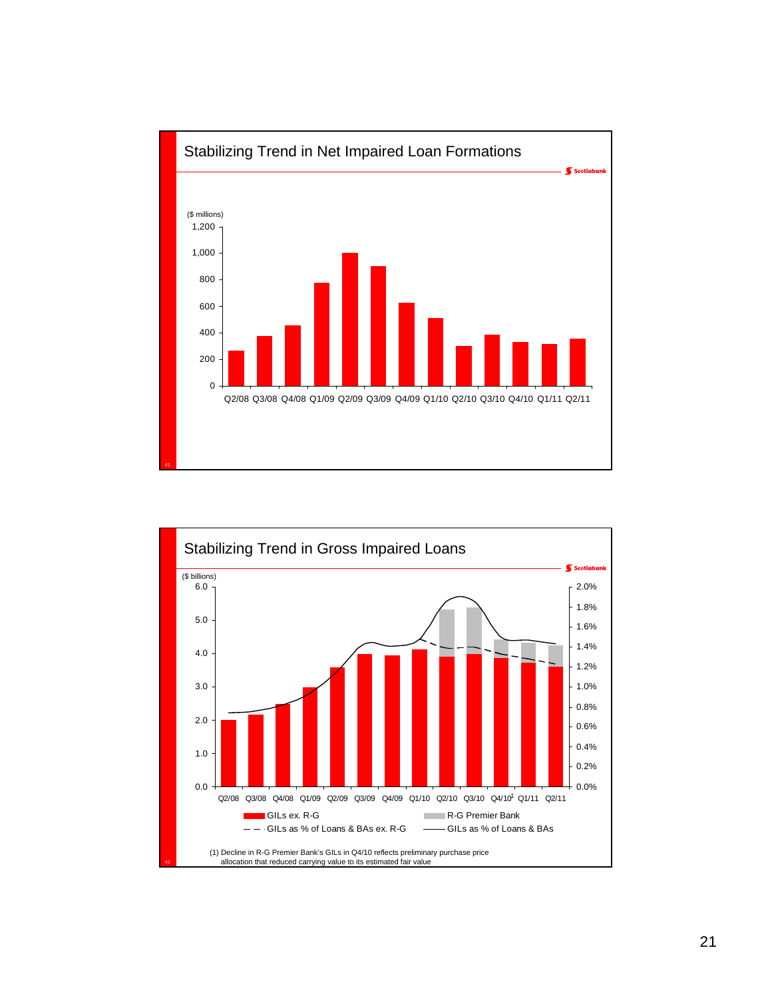

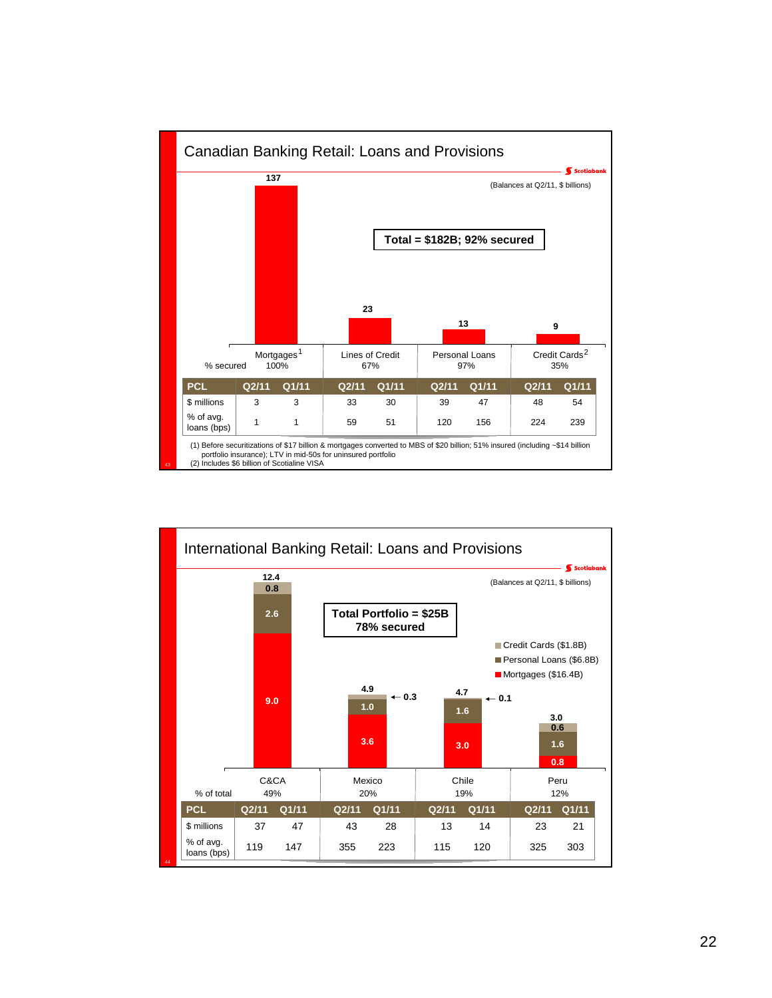

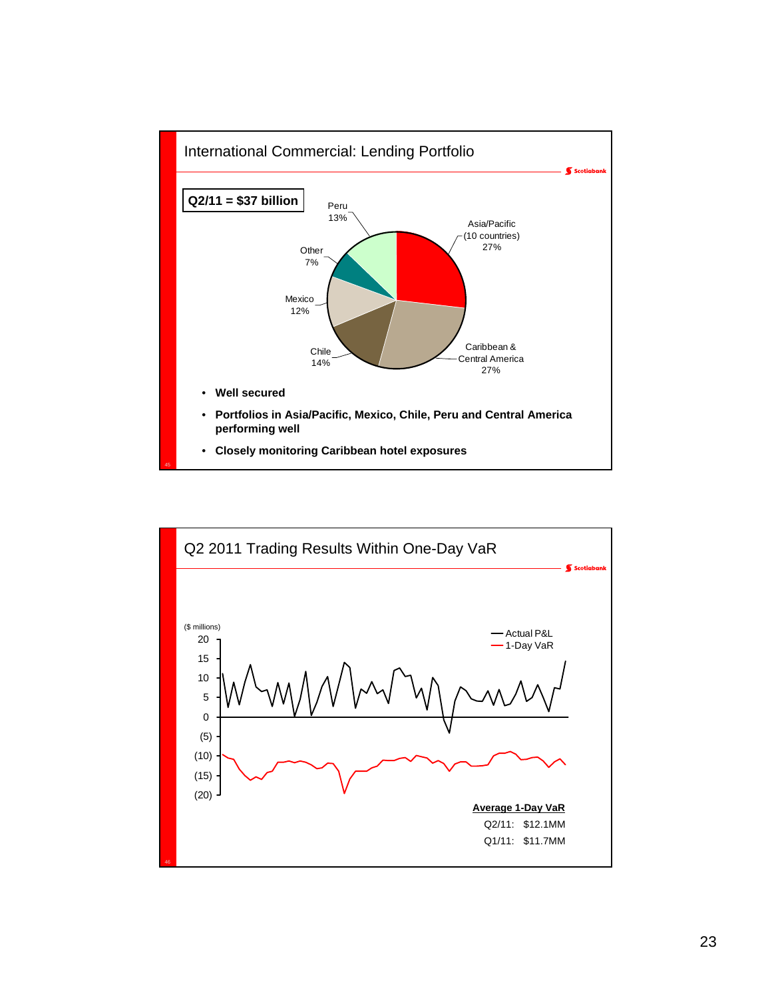